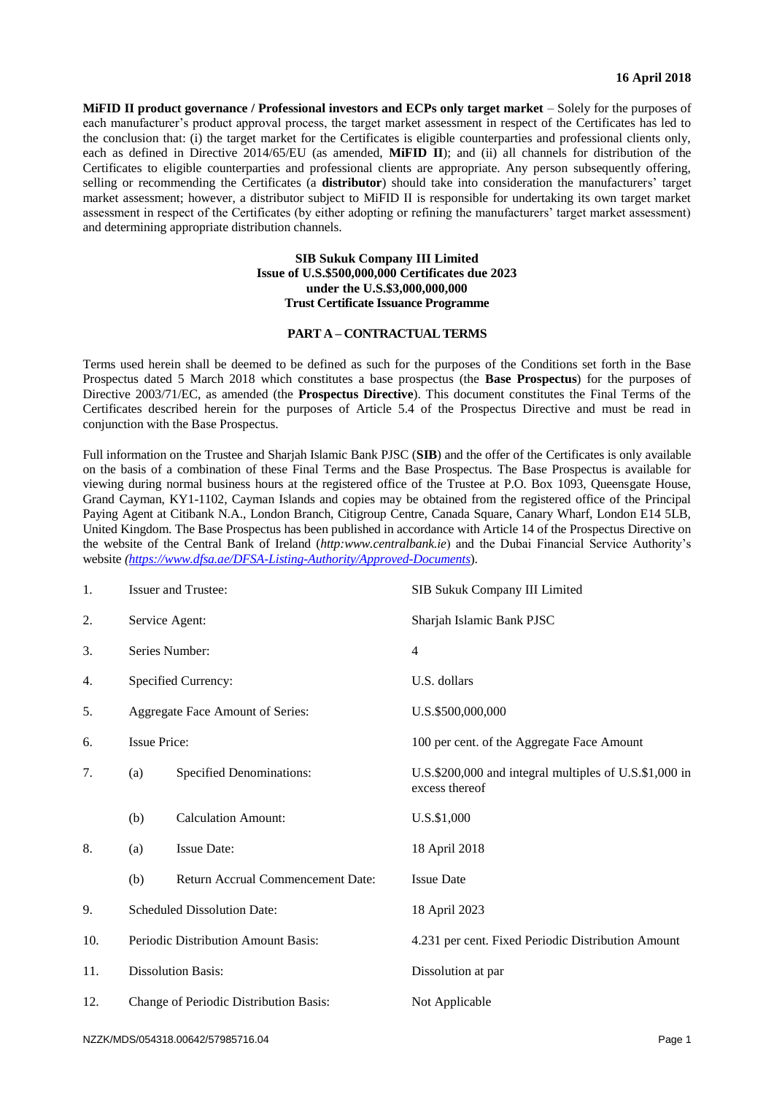**MiFID II product governance / Professional investors and ECPs only target market – Solely for the purposes of** each manufacturer's product approval process, the target market assessment in respect of the Certificates has led to the conclusion that: (i) the target market for the Certificates is eligible counterparties and professional clients only, each as defined in Directive 2014/65/EU (as amended, **MiFID II**); and (ii) all channels for distribution of the Certificates to eligible counterparties and professional clients are appropriate. Any person subsequently offering, selling or recommending the Certificates (a **distributor**) should take into consideration the manufacturers' target market assessment; however, a distributor subject to MiFID II is responsible for undertaking its own target market assessment in respect of the Certificates (by either adopting or refining the manufacturers' target market assessment) and determining appropriate distribution channels.

### **SIB Sukuk Company III Limited Issue of U.S.\$500,000,000 Certificates due 2023 under the U.S.\$3,000,000,000 Trust Certificate Issuance Programme**

### **PART A – CONTRACTUAL TERMS**

Terms used herein shall be deemed to be defined as such for the purposes of the Conditions set forth in the Base Prospectus dated 5 March 2018 which constitutes a base prospectus (the **Base Prospectus**) for the purposes of Directive 2003/71/EC, as amended (the **Prospectus Directive**). This document constitutes the Final Terms of the Certificates described herein for the purposes of Article 5.4 of the Prospectus Directive and must be read in conjunction with the Base Prospectus.

Full information on the Trustee and Sharjah Islamic Bank PJSC (**SIB**) and the offer of the Certificates is only available on the basis of a combination of these Final Terms and the Base Prospectus. The Base Prospectus is available for viewing during normal business hours at the registered office of the Trustee at P.O. Box 1093, Queensgate House, Grand Cayman, KY1-1102, Cayman Islands and copies may be obtained from the registered office of the Principal Paying Agent at Citibank N.A., London Branch, Citigroup Centre, Canada Square, Canary Wharf, London E14 5LB, United Kingdom. The Base Prospectus has been published in accordance with Article 14 of the Prospectus Directive on the website of the Central Bank of Ireland (*http:www.centralbank.ie*) and the Dubai Financial Service Authority's website *(https://www.dfsa.ae/DFSA-Listing-Authority/Approved-Documents*).

| 1.  |                                        | Issuer and Trustee:               | SIB Sukuk Company III Limited                                            |
|-----|----------------------------------------|-----------------------------------|--------------------------------------------------------------------------|
| 2.  | Service Agent:                         |                                   | Sharjah Islamic Bank PJSC                                                |
| 3.  | Series Number:                         |                                   | $\overline{4}$                                                           |
| 4.  |                                        | Specified Currency:               | U.S. dollars                                                             |
| 5.  | Aggregate Face Amount of Series:       |                                   | U.S.\$500,000,000                                                        |
| 6.  | <b>Issue Price:</b>                    |                                   | 100 per cent. of the Aggregate Face Amount                               |
| 7.  | (a)                                    | <b>Specified Denominations:</b>   | U.S.\$200,000 and integral multiples of U.S.\$1,000 in<br>excess thereof |
|     | (b)                                    | <b>Calculation Amount:</b>        | U.S.\$1,000                                                              |
| 8.  | (a)                                    | <b>Issue Date:</b>                | 18 April 2018                                                            |
|     | (b)                                    | Return Accrual Commencement Date: | <b>Issue Date</b>                                                        |
| 9.  | Scheduled Dissolution Date:            |                                   | 18 April 2023                                                            |
| 10. | Periodic Distribution Amount Basis:    |                                   | 4.231 per cent. Fixed Periodic Distribution Amount                       |
| 11. | <b>Dissolution Basis:</b>              |                                   | Dissolution at par                                                       |
| 12. | Change of Periodic Distribution Basis: |                                   | Not Applicable                                                           |
|     |                                        |                                   |                                                                          |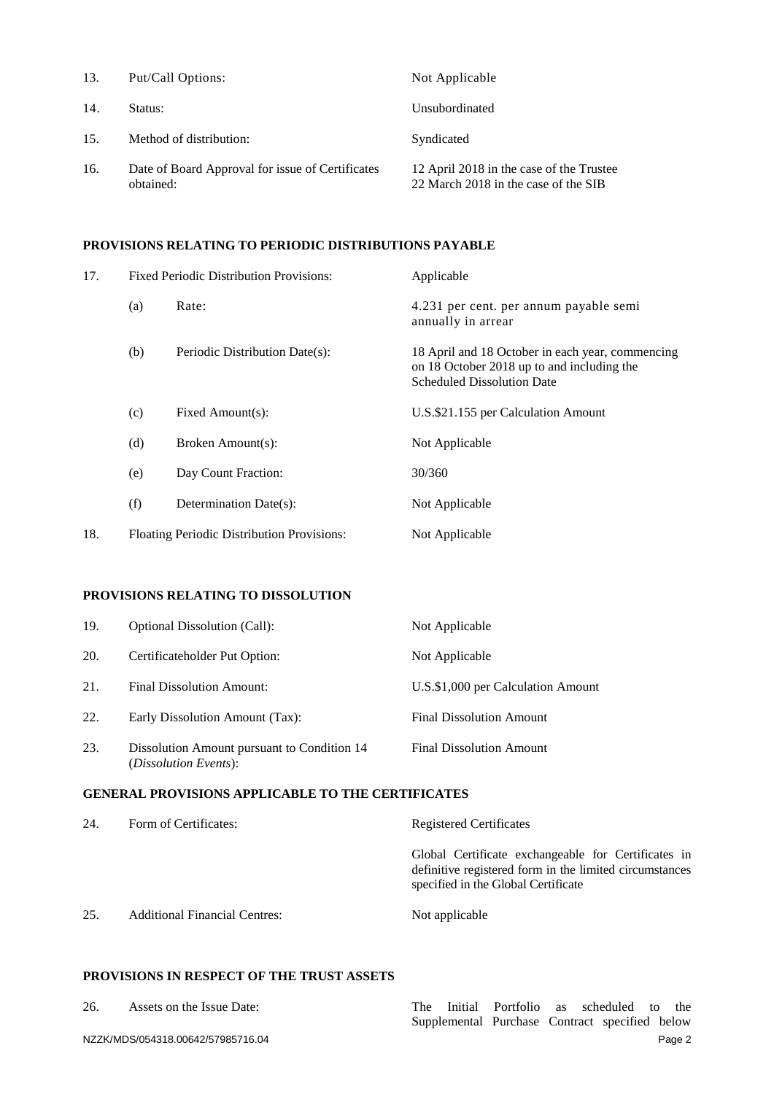| 13. | Put/Call Options:                                             | Not Applicable                                                                   |
|-----|---------------------------------------------------------------|----------------------------------------------------------------------------------|
| 14. | Status:                                                       | Unsubordinated                                                                   |
| 15. | Method of distribution:                                       | Syndicated                                                                       |
| 16. | Date of Board Approval for issue of Certificates<br>obtained: | 12 April 2018 in the case of the Trustee<br>22 March 2018 in the case of the SIB |

## **PROVISIONS RELATING TO PERIODIC DISTRIBUTIONS PAYABLE**

| 17. |     | <b>Fixed Periodic Distribution Provisions:</b> | Applicable                                                                                                                          |  |
|-----|-----|------------------------------------------------|-------------------------------------------------------------------------------------------------------------------------------------|--|
|     | (a) | Rate:                                          | 4.231 per cent. per annum payable semi<br>annually in arrear                                                                        |  |
|     | (b) | Periodic Distribution Date(s):                 | 18 April and 18 October in each year, commencing<br>on 18 October 2018 up to and including the<br><b>Scheduled Dissolution Date</b> |  |
|     | (c) | Fixed Amount(s):                               | U.S.\$21.155 per Calculation Amount                                                                                                 |  |
|     | (d) | Broken Amount(s):                              | Not Applicable                                                                                                                      |  |
|     | (e) | Day Count Fraction:                            | 30/360                                                                                                                              |  |
|     | (f) | Determination Date(s):                         | Not Applicable                                                                                                                      |  |
| 18. |     | Floating Periodic Distribution Provisions:     | Not Applicable                                                                                                                      |  |
|     |     |                                                |                                                                                                                                     |  |

### **PROVISIONS RELATING TO DISSOLUTION**

| 19. | <b>Optional Dissolution (Call):</b>                                           | Not Applicable                     |
|-----|-------------------------------------------------------------------------------|------------------------------------|
| 20. | Certificateholder Put Option:                                                 | Not Applicable                     |
| 21. | <b>Final Dissolution Amount:</b>                                              | U.S.\$1,000 per Calculation Amount |
| 22. | Early Dissolution Amount (Tax):                                               | <b>Final Dissolution Amount</b>    |
| 23. | Dissolution Amount pursuant to Condition 14<br>( <i>Dissolution Events</i> ): | <b>Final Dissolution Amount</b>    |

## **GENERAL PROVISIONS APPLICABLE TO THE CERTIFICATES**

| 24. | Form of Certificates:                | <b>Registered Certificates</b>                                                                                                                        |
|-----|--------------------------------------|-------------------------------------------------------------------------------------------------------------------------------------------------------|
|     |                                      | Global Certificate exchangeable for Certificates in<br>definitive registered form in the limited circumstances<br>specified in the Global Certificate |
| 25. | <b>Additional Financial Centres:</b> | Not applicable                                                                                                                                        |

## **PROVISIONS IN RESPECT OF THE TRUST ASSETS**

NZZK/MDS/054318.00642/57985716.04 Page 2 26. Assets on the Issue Date: The Initial Portfolio as scheduled to the Supplemental Purchase Contract specified below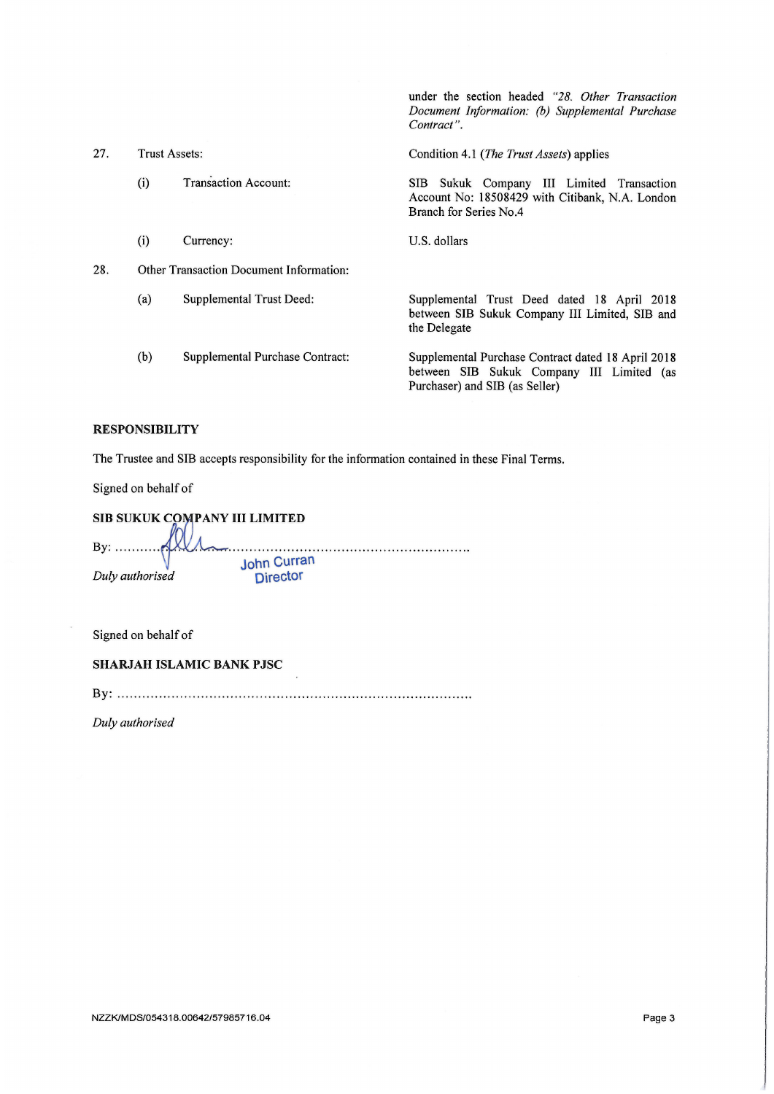|     |                      |                                                | Document Information: (b) Supplemental Purchase<br>Contract".                                                                     |
|-----|----------------------|------------------------------------------------|-----------------------------------------------------------------------------------------------------------------------------------|
| 27. | <b>Trust Assets:</b> |                                                | Condition 4.1 ( <i>The Trust Assets</i> ) applies                                                                                 |
|     | (i)                  | <b>Transaction Account:</b>                    | Sukuk Company III Limited Transaction<br>SIB -<br>Account No: 18508429 with Citibank, N.A. London<br>Branch for Series No.4       |
|     | (i)                  | Currency:                                      | U.S. dollars                                                                                                                      |
| 28. |                      | <b>Other Transaction Document Information:</b> |                                                                                                                                   |
|     | (a)                  | Supplemental Trust Deed:                       | Supplemental Trust Deed dated 18 April 2018<br>between SIB Sukuk Company III Limited, SIB and<br>the Delegate                     |
|     | (b)                  | Supplemental Purchase Contract:                | Supplemental Purchase Contract dated 18 April 2018<br>between SIB Sukuk Company III Limited (as<br>Purchaser) and SIB (as Seller) |

under the section headed "28. Other Transaction

## **RESPONSIBILITY**

The Trustee and SIB accepts responsibility for the information contained in these Final Terms.

Signed on behalf of

SIB SUKUK COMPANY III LIMITED By: ...... **John Curran** Duly authorised **Director** 

Signed on behalf of

SHARJAH ISLAMIC BANK PJSC

Duly authorised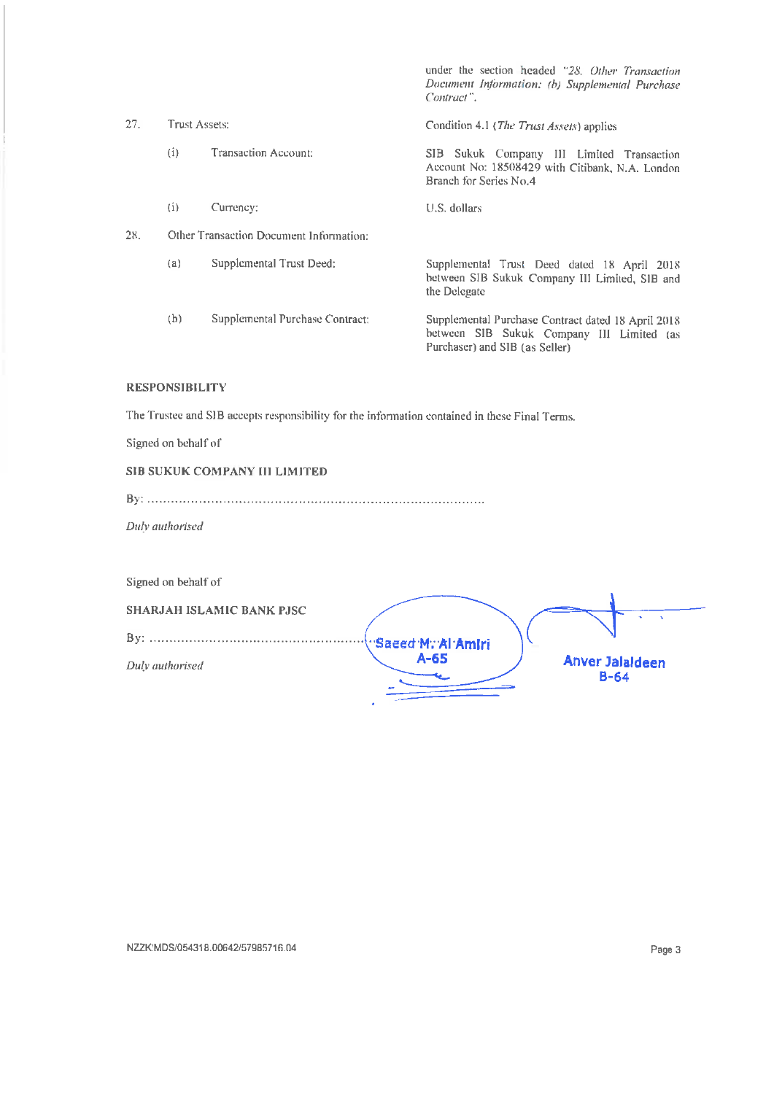|     |               |                                         | under the section headed "28. Other Transaction<br>Document Information: (b) Supplemental Purchase<br>Contract".                  |
|-----|---------------|-----------------------------------------|-----------------------------------------------------------------------------------------------------------------------------------|
| 27. | Trust Assets: |                                         | Condition 4.1 ( <i>The Trust Assets</i> ) applies                                                                                 |
|     | (i)           | Transaction Account:                    | SIB Sukuk Company III Limited Transaction<br>Account No: 18508429 with Citibank, N.A. London<br>Branch for Series No.4            |
|     | (i)           | Currency:                               | U.S. dollars                                                                                                                      |
| 28. |               | Other Transaction Document Information: |                                                                                                                                   |
|     | (a)           | Supplemental Trust Deed:                | Supplemental Trust Deed dated 18 April 2018<br>between SIB Sukuk Company III Limited, SIB and<br>the Delegate                     |
|     | (b)           | Supplemental Purchase Contract:         | Supplemental Purchase Contract dated 18 April 2018<br>between SIB Sukuk Company III Limited (as<br>Purchaser) and SIB (as Seller) |

### **RESPONSIBILITY**

The Trustee and SIB accepts responsibility for the information contained in these Final Terms.

Signed on behalf of

## SIB SUKUK COMPANY III LIMITED

|--|

Duly authorised

Signed on behalf of SHARJAH ISLAMIC BANK PJSC Saeed M. Al Amiri  $A-65$ Anver Jalaldeen Duly authorised  $B-64$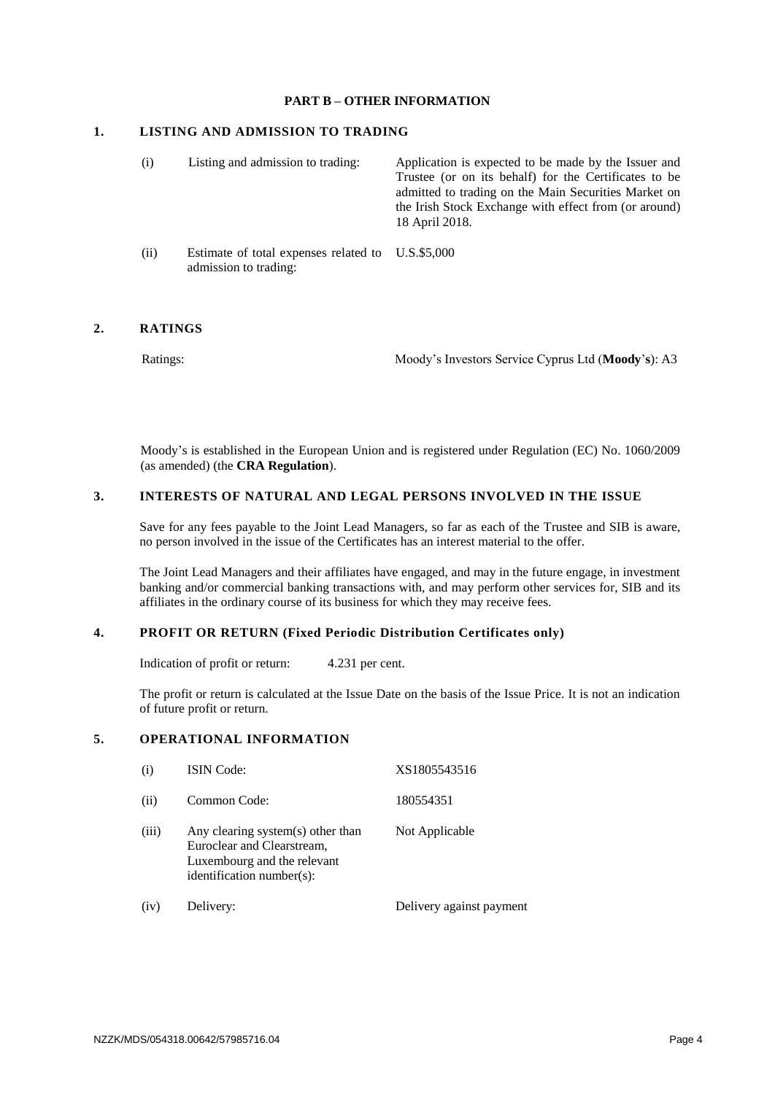### **PART B – OTHER INFORMATION**

### **1. LISTING AND ADMISSION TO TRADING**

| (i)  | Listing and admission to trading:                                          | Application is expected to be made by the Issuer and<br>Trustee (or on its behalf) for the Certificates to be<br>admitted to trading on the Main Securities Market on<br>the Irish Stock Exchange with effect from (or around)<br>18 April 2018. |
|------|----------------------------------------------------------------------------|--------------------------------------------------------------------------------------------------------------------------------------------------------------------------------------------------------------------------------------------------|
| (ii) | Estimate of total expenses related to U.S.\$5,000<br>admission to trading: |                                                                                                                                                                                                                                                  |

#### **2. RATINGS**

Ratings: Moody's Investors Service Cyprus Ltd (**Moody**'**s**): A3

Moody's is established in the European Union and is registered under Regulation (EC) No. 1060/2009 (as amended) (the **CRA Regulation**).

## **3. INTERESTS OF NATURAL AND LEGAL PERSONS INVOLVED IN THE ISSUE**

Save for any fees payable to the Joint Lead Managers, so far as each of the Trustee and SIB is aware, no person involved in the issue of the Certificates has an interest material to the offer.

The Joint Lead Managers and their affiliates have engaged, and may in the future engage, in investment banking and/or commercial banking transactions with, and may perform other services for, SIB and its affiliates in the ordinary course of its business for which they may receive fees.

## **4. PROFIT OR RETURN (Fixed Periodic Distribution Certificates only)**

Indication of profit or return: 4.231 per cent.

The profit or return is calculated at the Issue Date on the basis of the Issue Price. It is not an indication of future profit or return.

## **5. OPERATIONAL INFORMATION**

| (i)   | <b>ISIN</b> Code:                                                                                                           | XS1805543516             |
|-------|-----------------------------------------------------------------------------------------------------------------------------|--------------------------|
| (ii)  | Common Code:                                                                                                                | 180554351                |
| (iii) | Any clearing system(s) other than<br>Euroclear and Clearstream,<br>Luxembourg and the relevant<br>identification number(s): | Not Applicable           |
| (iv)  | Delivery:                                                                                                                   | Delivery against payment |